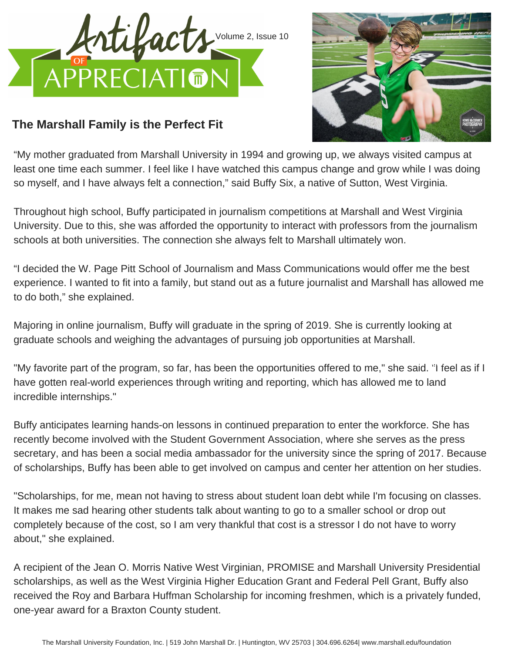



## **The Marshall Family is the Perfect Fit**

"My mother graduated from Marshall University in 1994 and growing up, we always visited campus at least one time each summer. I feel like I have watched this campus change and grow while I was doing so myself, and I have always felt a connection," said Buffy Six, a native of Sutton, West Virginia.

Throughout high school, Buffy participated in journalism competitions at Marshall and West Virginia University. Due to this, she was afforded the opportunity to interact with professors from the journalism schools at both universities. The connection she always felt to Marshall ultimately won.

"I decided the W. Page Pitt School of Journalism and Mass Communications would offer me the best experience. I wanted to fit into a family, but stand out as a future journalist and Marshall has allowed me to do both," she explained.

Majoring in online journalism, Buffy will graduate in the spring of 2019. She is currently looking at graduate schools and weighing the advantages of pursuing job opportunities at Marshall.

"My favorite part of the program, so far, has been the opportunities offered to me," she said. "I feel as if I have gotten real-world experiences through writing and reporting, which has allowed me to land incredible internships."

Buffy anticipates learning hands-on lessons in continued preparation to enter the workforce. She has recently become involved with the Student Government Association, where she serves as the press secretary, and has been a social media ambassador for the university since the spring of 2017. Because of scholarships, Buffy has been able to get involved on campus and center her attention on her studies.

"Scholarships, for me, mean not having to stress about student loan debt while I'm focusing on classes. It makes me sad hearing other students talk about wanting to go to a smaller school or drop out completely because of the cost, so I am very thankful that cost is a stressor I do not have to worry about," she explained.

A recipient of the Jean O. Morris Native West Virginian, PROMISE and Marshall University Presidential scholarships, as well as the West Virginia Higher Education Grant and Federal Pell Grant, Buffy also received the Roy and Barbara Huffman Scholarship for incoming freshmen, which is a privately funded, one-year award for a Braxton County student.